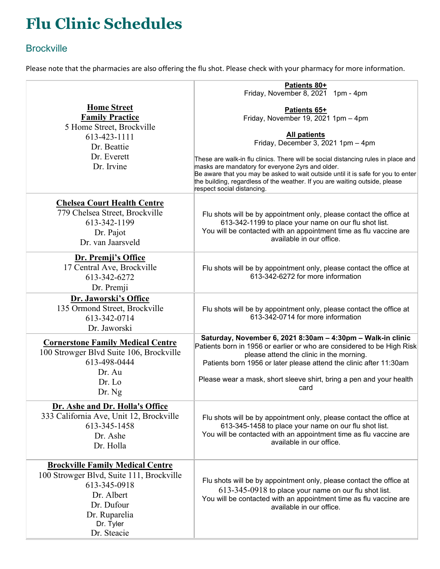## **Flu Clinic Schedules**

## **Brockville**

Please note that the pharmacies are also offering the flu shot. Please check with your pharmacy for more information.

|                                                                                                                                                                              | Patients 80+<br>Friday, November 8, 2021 1pm - 4pm                                                                                                                                                                                                                                                                                     |
|------------------------------------------------------------------------------------------------------------------------------------------------------------------------------|----------------------------------------------------------------------------------------------------------------------------------------------------------------------------------------------------------------------------------------------------------------------------------------------------------------------------------------|
| <b>Home Street</b><br><b>Family Practice</b><br>5 Home Street, Brockville<br>613-423-1111<br>Dr. Beattie<br>Dr. Everett<br>Dr. Irvine                                        | Patients 65+<br>Friday, November 19, 2021 1pm - 4pm                                                                                                                                                                                                                                                                                    |
|                                                                                                                                                                              | <b>All patients</b><br>Friday, December 3, 2021 1pm - 4pm                                                                                                                                                                                                                                                                              |
|                                                                                                                                                                              | These are walk-in flu clinics. There will be social distancing rules in place and<br>masks are mandatory for everyone 2yrs and older.<br>Be aware that you may be asked to wait outside until it is safe for you to enter<br>the building, regardless of the weather. If you are waiting outside, please<br>respect social distancing. |
| <b>Chelsea Court Health Centre</b><br>779 Chelsea Street, Brockville<br>613-342-1199<br>Dr. Pajot<br>Dr. van Jaarsveld                                                       | Flu shots will be by appointment only, please contact the office at<br>613-342-1199 to place your name on our flu shot list.<br>You will be contacted with an appointment time as flu vaccine are<br>available in our office.                                                                                                          |
| Dr. Premji's Office<br>17 Central Ave, Brockville<br>613-342-6272<br>Dr. Premji                                                                                              | Flu shots will be by appointment only, please contact the office at<br>613-342-6272 for more information                                                                                                                                                                                                                               |
| Dr. Jaworski's Office<br>135 Ormond Street, Brockville<br>613-342-0714<br>Dr. Jaworski                                                                                       | Flu shots will be by appointment only, please contact the office at<br>613-342-0714 for more information                                                                                                                                                                                                                               |
| <b>Cornerstone Family Medical Centre</b><br>100 Strowger Blvd Suite 106, Brockville<br>613-498-0444<br>Dr. Au                                                                | Saturday, November 6, 2021 8:30am - 4:30pm - Walk-in clinic<br>Patients born in 1956 or earlier or who are considered to be High Risk<br>please attend the clinic in the morning.<br>Patients born 1956 or later please attend the clinic after 11:30am                                                                                |
| Dr. Lo<br>Dr. Ng                                                                                                                                                             | Please wear a mask, short sleeve shirt, bring a pen and your health<br>card                                                                                                                                                                                                                                                            |
| Dr. Ashe and Dr. Holla's Office<br>333 California Ave, Unit 12, Brockville<br>613-345-1458<br>Dr. Ashe<br>Dr. Holla                                                          | Flu shots will be by appointment only, please contact the office at<br>613-345-1458 to place your name on our flu shot list.<br>You will be contacted with an appointment time as flu vaccine are<br>available in our office.                                                                                                          |
| <b>Brockville Family Medical Centre</b><br>100 Strowger Blvd, Suite 111, Brockville<br>613-345-0918<br>Dr. Albert<br>Dr. Dufour<br>Dr. Ruparelia<br>Dr. Tyler<br>Dr. Steacie | Flu shots will be by appointment only, please contact the office at<br>613-345-0918 to place your name on our flu shot list.<br>You will be contacted with an appointment time as flu vaccine are<br>available in our office.                                                                                                          |